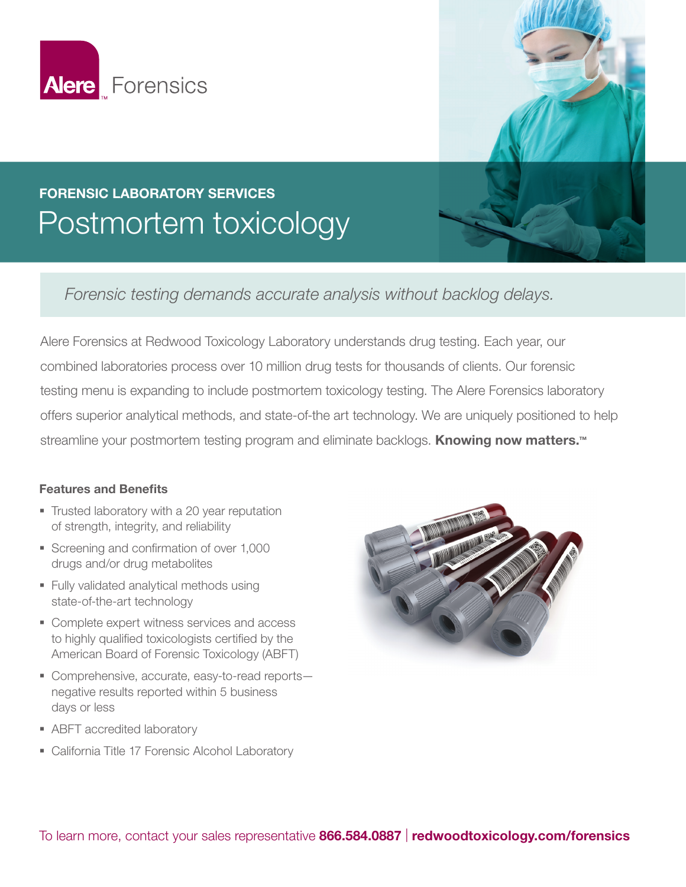



## FORENSIC LABORATORY SERVICES Postmortem toxicology

*Forensic testing demands accurate analysis without backlog delays.*

Alere Forensics at Redwood Toxicology Laboratory understands drug testing. Each year, our combined laboratories process over 10 million drug tests for thousands of clients. Our forensic testing menu is expanding to include postmortem toxicology testing. The Alere Forensics laboratory offers superior analytical methods, and state-of-the art technology. We are uniquely positioned to help streamline your postmortem testing program and eliminate backlogs. **Knowing now matters.**™

## Features and Benefits

- Trusted laboratory with a 20 year reputation of strength, integrity, and reliability
- Screening and confirmation of over 1,000 drugs and/or drug metabolites
- **Fully validated analytical methods using** state-of-the-art technology
- Complete expert witness services and access to highly qualified toxicologists certified by the American Board of Forensic Toxicology (ABFT)
- Comprehensive, accurate, easy-to-read reportsnegative results reported within 5 business days or less
- **ABFT** accredited laboratory
- **California Title 17 Forensic Alcohol Laboratory**